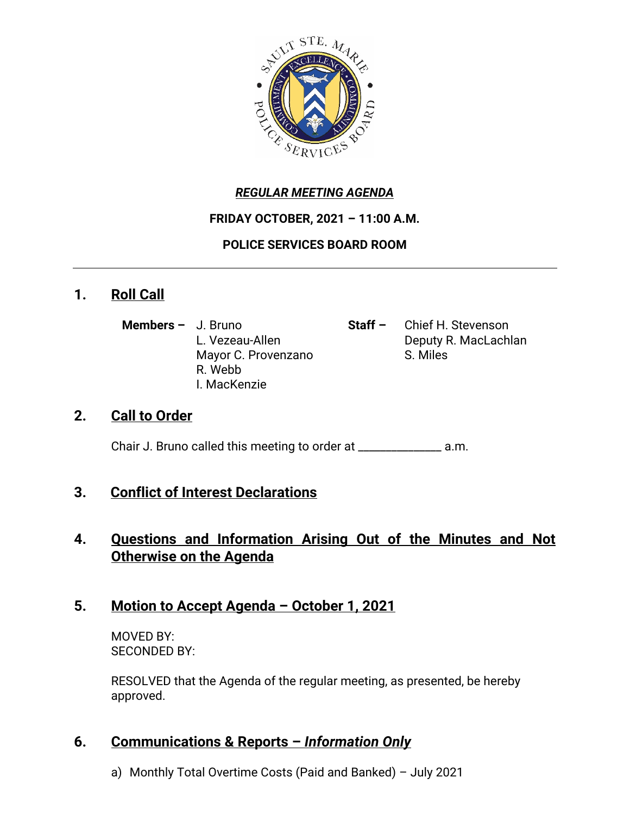

### *REGULAR MEETING AGENDA*

#### **FRIDAY OCTOBER, 2021 – 11:00 A.M.**

### **POLICE SERVICES BOARD ROOM**

# **1. Roll Call**

- **Members –** J. Bruno **Staff –** Chief H. Stevenson Mayor C. Provenzano S. Miles R. Webb I. MacKenzie
- L. Vezeau-Allen **Deputy R. MacLachlan**

# **2. Call to Order**

Chair J. Bruno called this meeting to order at \_\_\_\_\_\_\_\_\_\_\_\_\_\_\_ a.m.

# **3. Conflict of Interest Declarations**

# **4. Questions and Information Arising Out of the Minutes and Not Otherwise on the Agenda**

# **5. Motion to Accept Agenda – October 1, 2021**

MOVED BY: SECONDED BY:

RESOLVED that the Agenda of the regular meeting, as presented, be hereby approved.

# **6. Communications & Reports –** *Information Only*

a) Monthly Total Overtime Costs (Paid and Banked) – July 2021